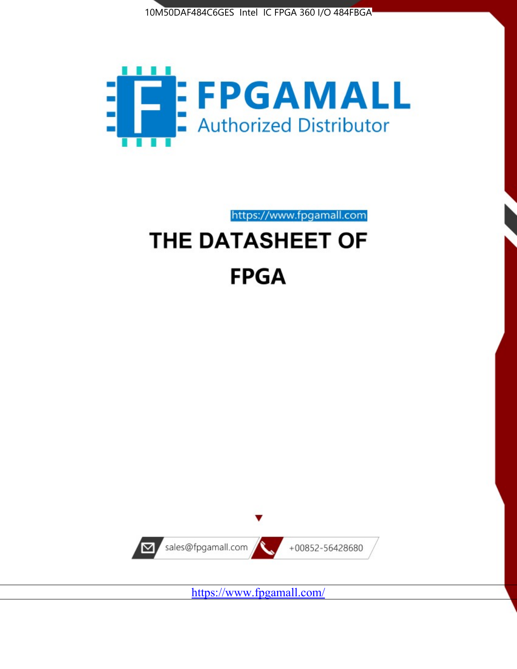



https://www.fpgamall.com

# THE DATASHEET OF **FPGA**



<https://www.fpgamall.com/>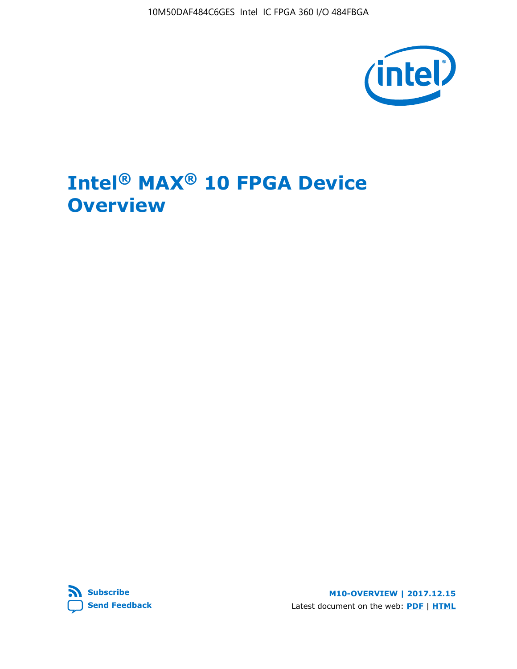

# **Intel® MAX® 10 FPGA Device Overview**



**M10-OVERVIEW | 2017.12.15** Latest document on the web: **[PDF](https://www.altera.com/en_US/pdfs/literature/hb/max-10/m10_overview.pdf)** | **[HTML](https://www.altera.com/documentation/myt1396938463674.html)**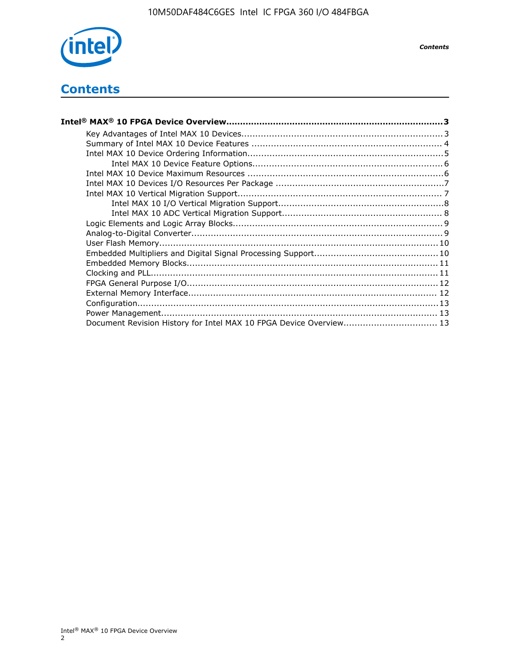

*Contents*

# **Contents**

| Intel® MAX® 10 FPGA Device Overview……………………………………………………………………………3  |  |
|--------------------------------------------------------------------|--|
|                                                                    |  |
|                                                                    |  |
|                                                                    |  |
|                                                                    |  |
|                                                                    |  |
|                                                                    |  |
|                                                                    |  |
|                                                                    |  |
|                                                                    |  |
|                                                                    |  |
|                                                                    |  |
|                                                                    |  |
|                                                                    |  |
|                                                                    |  |
|                                                                    |  |
|                                                                    |  |
|                                                                    |  |
|                                                                    |  |
|                                                                    |  |
| Document Revision History for Intel MAX 10 FPGA Device Overview 13 |  |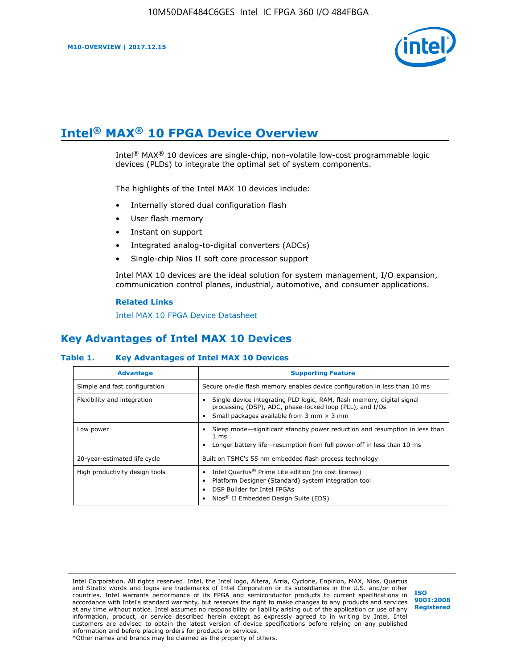

# **Intel® MAX® 10 FPGA Device Overview**

Intel<sup>®</sup> MAX<sup>®</sup> 10 devices are single-chip, non-volatile low-cost programmable logic devices (PLDs) to integrate the optimal set of system components.

The highlights of the Intel MAX 10 devices include:

- Internally stored dual configuration flash
- User flash memory
- Instant on support
- Integrated analog-to-digital converters (ADCs)
- Single-chip Nios II soft core processor support

Intel MAX 10 devices are the ideal solution for system management, I/O expansion, communication control planes, industrial, automotive, and consumer applications.

#### **Related Links**

[Intel MAX 10 FPGA Device Datasheet](https://www.altera.com/documentation/mcn1397700832153.html#mcn1397643748870)

## **Key Advantages of Intel MAX 10 Devices**

## **Table 1. Key Advantages of Intel MAX 10 Devices**

| <b>Advantage</b>               | <b>Supporting Feature</b>                                                                                                                                                                                  |
|--------------------------------|------------------------------------------------------------------------------------------------------------------------------------------------------------------------------------------------------------|
| Simple and fast configuration  | Secure on-die flash memory enables device configuration in less than 10 ms                                                                                                                                 |
| Flexibility and integration    | Single device integrating PLD logic, RAM, flash memory, digital signal<br>processing (DSP), ADC, phase-locked loop (PLL), and I/Os<br>Small packages available from 3 mm $\times$ 3 mm                     |
| Low power                      | Sleep mode—significant standby power reduction and resumption in less than<br>$1 \text{ ms}$<br>Longer battery life-resumption from full power-off in less than 10 ms                                      |
| 20-year-estimated life cycle   | Built on TSMC's 55 nm embedded flash process technology                                                                                                                                                    |
| High productivity design tools | Intel Quartus <sup>®</sup> Prime Lite edition (no cost license)<br>Platform Designer (Standard) system integration tool<br>DSP Builder for Intel FPGAs<br>Nios <sup>®</sup> II Embedded Design Suite (EDS) |

Intel Corporation. All rights reserved. Intel, the Intel logo, Altera, Arria, Cyclone, Enpirion, MAX, Nios, Quartus and Stratix words and logos are trademarks of Intel Corporation or its subsidiaries in the U.S. and/or other countries. Intel warrants performance of its FPGA and semiconductor products to current specifications in accordance with Intel's standard warranty, but reserves the right to make changes to any products and services at any time without notice. Intel assumes no responsibility or liability arising out of the application or use of any information, product, or service described herein except as expressly agreed to in writing by Intel. Intel customers are advised to obtain the latest version of device specifications before relying on any published information and before placing orders for products or services. \*Other names and brands may be claimed as the property of others.

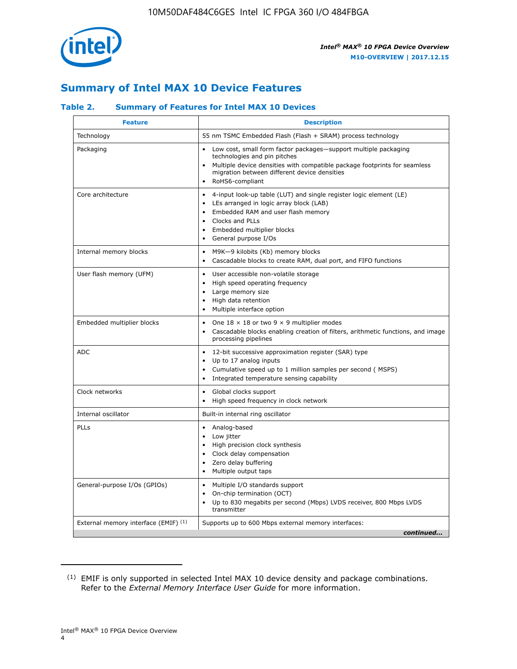

# **Summary of Intel MAX 10 Device Features**

## **Table 2. Summary of Features for Intel MAX 10 Devices**

| <b>Feature</b>                       | <b>Description</b>                                                                                                                                                                                                                                                                                         |
|--------------------------------------|------------------------------------------------------------------------------------------------------------------------------------------------------------------------------------------------------------------------------------------------------------------------------------------------------------|
| Technology                           | 55 nm TSMC Embedded Flash (Flash + SRAM) process technology                                                                                                                                                                                                                                                |
| Packaging                            | Low cost, small form factor packages-support multiple packaging<br>technologies and pin pitches<br>Multiple device densities with compatible package footprints for seamless<br>migration between different device densities<br>RoHS6-compliant                                                            |
| Core architecture                    | 4-input look-up table (LUT) and single register logic element (LE)<br>$\bullet$<br>LEs arranged in logic array block (LAB)<br>$\bullet$<br>Embedded RAM and user flash memory<br>$\bullet$<br>Clocks and PLLs<br>$\bullet$<br>Embedded multiplier blocks<br>$\bullet$<br>General purpose I/Os<br>$\bullet$ |
| Internal memory blocks               | M9K-9 kilobits (Kb) memory blocks<br>$\bullet$<br>Cascadable blocks to create RAM, dual port, and FIFO functions<br>$\bullet$                                                                                                                                                                              |
| User flash memory (UFM)              | User accessible non-volatile storage<br>$\bullet$<br>High speed operating frequency<br>$\bullet$<br>Large memory size<br>High data retention<br>$\bullet$<br>Multiple interface option                                                                                                                     |
| Embedded multiplier blocks           | One $18 \times 18$ or two 9 $\times$ 9 multiplier modes<br>$\bullet$<br>Cascadable blocks enabling creation of filters, arithmetic functions, and image<br>processing pipelines                                                                                                                            |
| <b>ADC</b>                           | 12-bit successive approximation register (SAR) type<br>$\bullet$<br>Up to 17 analog inputs<br>$\bullet$<br>Cumulative speed up to 1 million samples per second (MSPS)<br>Integrated temperature sensing capability<br>$\bullet$                                                                            |
| Clock networks                       | Global clocks support<br>$\bullet$<br>High speed frequency in clock network                                                                                                                                                                                                                                |
| Internal oscillator                  | Built-in internal ring oscillator                                                                                                                                                                                                                                                                          |
| PLLs                                 | • Analog-based<br>Low jitter<br>$\bullet$<br>High precision clock synthesis<br>$\bullet$<br>Clock delay compensation<br>$\bullet$<br>Zero delay buffering<br>$\bullet$<br>Multiple output taps<br>$\bullet$                                                                                                |
| General-purpose I/Os (GPIOs)         | • Multiple I/O standards support<br>On-chip termination (OCT)<br>$\bullet$<br>Up to 830 megabits per second (Mbps) LVDS receiver, 800 Mbps LVDS<br>transmitter                                                                                                                                             |
| External memory interface (EMIF) (1) | Supports up to 600 Mbps external memory interfaces:<br>continued                                                                                                                                                                                                                                           |

<sup>(1)</sup> EMIF is only supported in selected Intel MAX 10 device density and package combinations. Refer to the *External Memory Interface User Guide* for more information.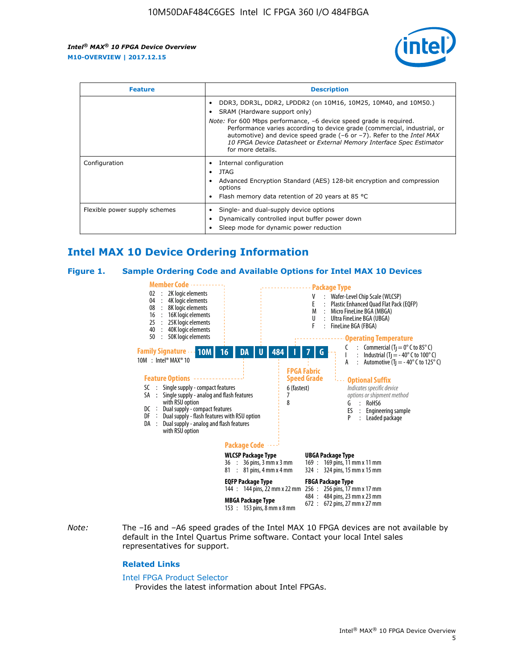

| <b>Feature</b>                | <b>Description</b>                                                                                                                                                                                                                                                                                                                                                                                                                               |  |  |  |
|-------------------------------|--------------------------------------------------------------------------------------------------------------------------------------------------------------------------------------------------------------------------------------------------------------------------------------------------------------------------------------------------------------------------------------------------------------------------------------------------|--|--|--|
|                               | DDR3, DDR3L, DDR2, LPDDR2 (on 10M16, 10M25, 10M40, and 10M50.)<br>SRAM (Hardware support only)<br><i>Note:</i> For 600 Mbps performance, -6 device speed grade is required.<br>Performance varies according to device grade (commercial, industrial, or<br>automotive) and device speed grade $(-6 \text{ or } -7)$ . Refer to the <i>Intel MAX</i><br>10 FPGA Device Datasheet or External Memory Interface Spec Estimator<br>for more details. |  |  |  |
| Configuration                 | Internal configuration<br>JTAG<br>٠<br>Advanced Encryption Standard (AES) 128-bit encryption and compression<br>options<br>Flash memory data retention of 20 years at 85 $^{\circ}$ C                                                                                                                                                                                                                                                            |  |  |  |
| Flexible power supply schemes | Single- and dual-supply device options<br>Dynamically controlled input buffer power down<br>Sleep mode for dynamic power reduction                                                                                                                                                                                                                                                                                                               |  |  |  |

# **Intel MAX 10 Device Ordering Information**

#### **Figure 1. Sample Ordering Code and Available Options for Intel MAX 10 Devices**



*Note:* The –I6 and –A6 speed grades of the Intel MAX 10 FPGA devices are not available by default in the Intel Quartus Prime software. Contact your local Intel sales representatives for support.

#### **Related Links**

#### [Intel FPGA Product Selector](http://www.altera.com/products/selector/psg-selector.html)

Provides the latest information about Intel FPGAs.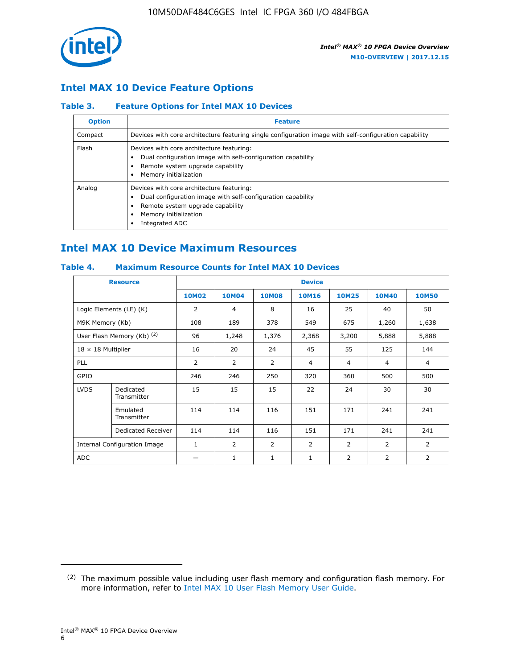

## **Intel MAX 10 Device Feature Options**

## **Table 3. Feature Options for Intel MAX 10 Devices**

| <b>Option</b> | <b>Feature</b>                                                                                                                                                                          |
|---------------|-----------------------------------------------------------------------------------------------------------------------------------------------------------------------------------------|
| Compact       | Devices with core architecture featuring single configuration image with self-configuration capability                                                                                  |
| Flash         | Devices with core architecture featuring:<br>Dual configuration image with self-configuration capability<br>Remote system upgrade capability<br>Memory initialization                   |
| Analog        | Devices with core architecture featuring:<br>Dual configuration image with self-configuration capability<br>Remote system upgrade capability<br>Memory initialization<br>Integrated ADC |

# **Intel MAX 10 Device Maximum Resources**

## **Table 4. Maximum Resource Counts for Intel MAX 10 Devices**

| <b>Resource</b>              |                            | <b>Device</b>  |              |              |                |                |              |                |
|------------------------------|----------------------------|----------------|--------------|--------------|----------------|----------------|--------------|----------------|
|                              |                            | <b>10M02</b>   | <b>10M04</b> | <b>10M08</b> | <b>10M16</b>   | <b>10M25</b>   | <b>10M40</b> | <b>10M50</b>   |
|                              | Logic Elements (LE) (K)    | $\overline{2}$ | 4            | 8            | 16             | 25             | 40           | 50             |
| M9K Memory (Kb)              |                            | 108            | 189          | 378          | 549            | 675            | 1,260        | 1,638          |
|                              | User Flash Memory (Kb) (2) | 96             | 1,248        | 1,376        | 2,368          | 3,200          | 5,888        | 5,888          |
| $18 \times 18$ Multiplier    |                            | 16             | 20           | 24           | 45             | 55             | 125          | 144            |
| <b>PLL</b>                   |                            | 2              | 2            | 2            | $\overline{4}$ | $\overline{4}$ | 4            | $\overline{4}$ |
| GPIO                         |                            | 246            | 246          | 250          | 320            | 360            | 500          | 500            |
| <b>LVDS</b>                  | Dedicated<br>Transmitter   | 15             | 15           | 15           | 22             | 24             | 30           | 30             |
|                              | Emulated<br>Transmitter    | 114            | 114          | 116          | 151            | 171            | 241          | 241            |
|                              | Dedicated Receiver         | 114            | 114          | 116          | 151            | 171            | 241          | 241            |
| Internal Configuration Image |                            | $\mathbf{1}$   | 2            | 2            | $\overline{2}$ | 2              | 2            | $\overline{2}$ |
| <b>ADC</b>                   |                            |                | 1            | 1            | $\mathbf{1}$   | 2              | 2            | 2              |

<sup>(2)</sup> The maximum possible value including user flash memory and configuration flash memory. For more information, refer to [Intel MAX 10 User Flash Memory User Guide](https://www.altera.com/documentation/vgo1395753117436.html#vgo1395811844282).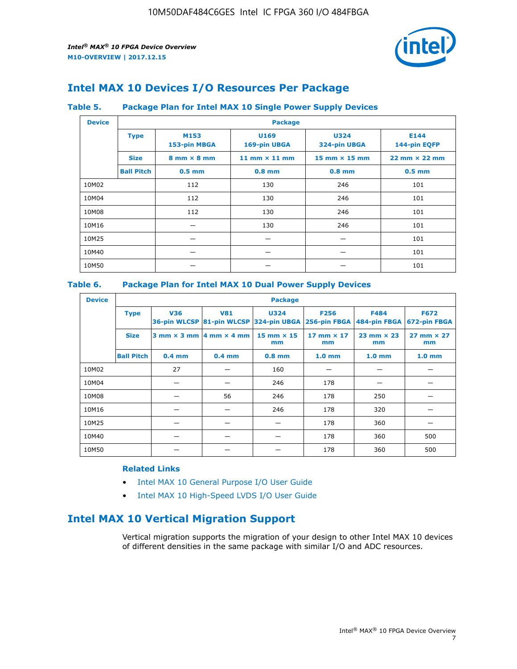

# **Intel MAX 10 Devices I/O Resources Per Package**

## **Table 5. Package Plan for Intel MAX 10 Single Power Supply Devices**

| <b>Device</b> |                   | <b>Package</b>                     |                      |                             |                                      |  |  |  |  |
|---------------|-------------------|------------------------------------|----------------------|-----------------------------|--------------------------------------|--|--|--|--|
|               | <b>Type</b>       | M153<br>153-pin MBGA               | U169<br>169-pin UBGA | <b>U324</b><br>324-pin UBGA | E144<br>144-pin EQFP                 |  |  |  |  |
|               | <b>Size</b>       | $8 \text{ mm} \times 8 \text{ mm}$ | 11 mm $\times$ 11 mm | $15$ mm $\times$ 15 mm      | $22 \text{ mm} \times 22 \text{ mm}$ |  |  |  |  |
|               | <b>Ball Pitch</b> | $0.5$ mm                           | $0.8$ mm             | $0.8$ mm                    | $0.5$ mm                             |  |  |  |  |
| 10M02         |                   | 112                                | 130                  | 246                         | 101                                  |  |  |  |  |
| 10M04         |                   | 112                                | 130                  | 246                         | 101                                  |  |  |  |  |
| 10M08         |                   | 112                                | 130                  | 246                         | 101                                  |  |  |  |  |
| 10M16         |                   |                                    | 130                  | 246                         | 101                                  |  |  |  |  |
| 10M25         |                   |                                    |                      |                             | 101                                  |  |  |  |  |
| 10M40         |                   |                                    |                      |                             | 101                                  |  |  |  |  |
| 10M50         |                   |                                    |                      |                             | 101                                  |  |  |  |  |

## **Table 6. Package Plan for Intel MAX 10 Dual Power Supply Devices**

| <b>Device</b> |                   | <b>Package</b> |                                                 |                                                                    |                         |                           |                             |  |  |
|---------------|-------------------|----------------|-------------------------------------------------|--------------------------------------------------------------------|-------------------------|---------------------------|-----------------------------|--|--|
|               | <b>Type</b>       | <b>V36</b>     | <b>V81</b>                                      | <b>U324</b><br>36-pin WLCSP 81-pin WLCSP 324-pin UBGA 256-pin FBGA | <b>F256</b>             | F484<br>484-pin FBGA      | <b>F672</b><br>672-pin FBGA |  |  |
|               | <b>Size</b>       |                | $3$ mm $\times$ 3 mm $\vert$ 4 mm $\times$ 4 mm | $15$ mm $\times$ 15<br>mm                                          | 17 mm $\times$ 17<br>mm | $23$ mm $\times$ 23<br>mm | $27$ mm $\times$ 27<br>mm   |  |  |
|               | <b>Ball Pitch</b> | $0.4$ mm       | $0.4$ mm                                        | $0.8$ mm                                                           | 1.0 <sub>mm</sub>       | 1.0 <sub>mm</sub>         | 1.0 <sub>mm</sub>           |  |  |
| 10M02         |                   | 27             |                                                 | 160                                                                |                         |                           |                             |  |  |
| 10M04         |                   |                |                                                 | 246                                                                | 178                     |                           |                             |  |  |
| 10M08         |                   |                | 56                                              | 246                                                                | 178                     | 250                       |                             |  |  |
| 10M16         |                   |                |                                                 | 246                                                                | 178                     | 320                       |                             |  |  |
| 10M25         |                   |                |                                                 |                                                                    | 178                     | 360                       |                             |  |  |
| 10M40         |                   |                |                                                 |                                                                    | 178                     | 360                       | 500                         |  |  |
| 10M50         |                   |                |                                                 |                                                                    | 178                     | 360                       | 500                         |  |  |

## **Related Links**

- [Intel MAX 10 General Purpose I/O User Guide](https://www.altera.com/documentation/sam1393999966669.html#sam1394000084476)
- [Intel MAX 10 High-Speed LVDS I/O User Guide](https://www.altera.com/documentation/sam1394433606063.html#sam1394433911642)

# **Intel MAX 10 Vertical Migration Support**

Vertical migration supports the migration of your design to other Intel MAX 10 devices of different densities in the same package with similar I/O and ADC resources.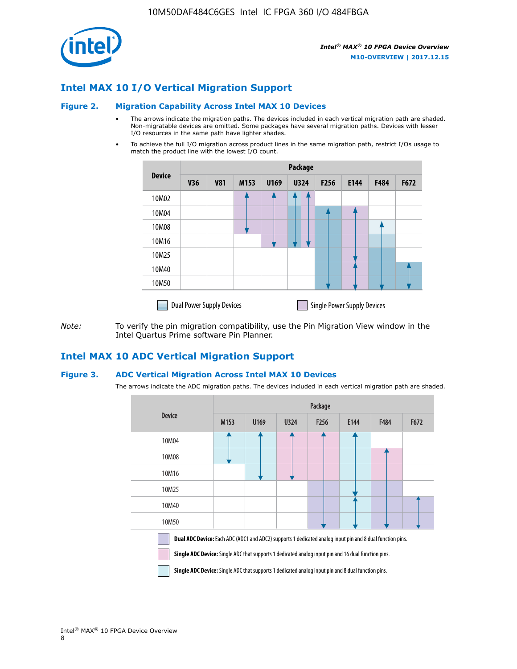

## **Intel MAX 10 I/O Vertical Migration Support**

#### **Figure 2. Migration Capability Across Intel MAX 10 Devices**

- The arrows indicate the migration paths. The devices included in each vertical migration path are shaded. Non-migratable devices are omitted. Some packages have several migration paths. Devices with lesser I/O resources in the same path have lighter shades.
- To achieve the full I/O migration across product lines in the same migration path, restrict I/Os usage to match the product line with the lowest I/O count.

|               | <b>Package</b>                   |            |      |      |             |      |                                    |      |      |  |
|---------------|----------------------------------|------------|------|------|-------------|------|------------------------------------|------|------|--|
| <b>Device</b> | <b>V36</b>                       | <b>V81</b> | M153 | U169 | <b>U324</b> | F256 | E144                               | F484 | F672 |  |
| 10M02         |                                  |            |      |      | 7           |      |                                    |      |      |  |
| 10M04         |                                  |            |      |      |             |      |                                    |      |      |  |
| 10M08         |                                  |            |      |      |             |      |                                    |      |      |  |
| 10M16         |                                  |            |      |      |             |      |                                    |      |      |  |
| 10M25         |                                  |            |      |      |             |      |                                    |      |      |  |
| 10M40         |                                  |            |      |      |             |      |                                    |      |      |  |
| 10M50         |                                  |            |      |      |             |      |                                    |      |      |  |
|               | <b>Dual Power Supply Devices</b> |            |      |      |             |      | <b>Single Power Supply Devices</b> |      |      |  |

*Note:* To verify the pin migration compatibility, use the Pin Migration View window in the Intel Quartus Prime software Pin Planner.

## **Intel MAX 10 ADC Vertical Migration Support**

#### **Figure 3. ADC Vertical Migration Across Intel MAX 10 Devices**

The arrows indicate the ADC migration paths. The devices included in each vertical migration path are shaded.

|                                                                                                                                                                                                                         | Package |      |      |                  |      |      |      |  |  |
|-------------------------------------------------------------------------------------------------------------------------------------------------------------------------------------------------------------------------|---------|------|------|------------------|------|------|------|--|--|
| <b>Device</b>                                                                                                                                                                                                           | M153    | U169 | U324 | F <sub>256</sub> | E144 | F484 | F672 |  |  |
| 10M04                                                                                                                                                                                                                   |         |      |      |                  |      |      |      |  |  |
| 10M08                                                                                                                                                                                                                   |         |      |      |                  |      |      |      |  |  |
| 10M16                                                                                                                                                                                                                   |         |      |      |                  |      |      |      |  |  |
| 10M25                                                                                                                                                                                                                   |         |      |      |                  |      |      |      |  |  |
| 10M40                                                                                                                                                                                                                   |         |      |      |                  |      |      |      |  |  |
| 10M50                                                                                                                                                                                                                   |         |      |      |                  |      |      |      |  |  |
| Dual ADC Device: Each ADC (ADC1 and ADC2) supports 1 dedicated analog input pin and 8 dual function pins.<br><b>Single ADC Device:</b> Single ADC that supports 1 dedicated analog input pin and 16 dual function pins. |         |      |      |                  |      |      |      |  |  |

**Single ADC Device:** Single ADC that supports 1 dedicated analog input pin and 8 dual function pins.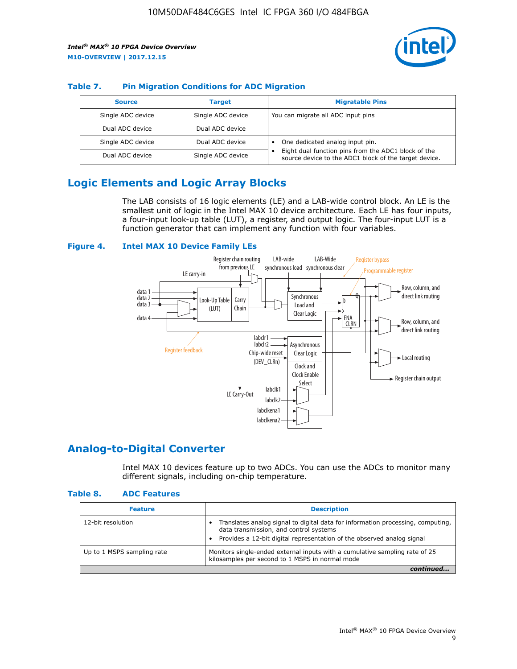

## **Table 7. Pin Migration Conditions for ADC Migration**

| <b>Source</b>     | <b>Target</b>     | <b>Migratable Pins</b>                                                                                            |
|-------------------|-------------------|-------------------------------------------------------------------------------------------------------------------|
| Single ADC device | Single ADC device | You can migrate all ADC input pins                                                                                |
| Dual ADC device   | Dual ADC device   |                                                                                                                   |
| Single ADC device | Dual ADC device   | One dedicated analog input pin.                                                                                   |
| Dual ADC device   | Single ADC device | Eight dual function pins from the ADC1 block of the<br>٠<br>source device to the ADC1 block of the target device. |

# **Logic Elements and Logic Array Blocks**

The LAB consists of 16 logic elements (LE) and a LAB-wide control block. An LE is the smallest unit of logic in the Intel MAX 10 device architecture. Each LE has four inputs, a four-input look-up table (LUT), a register, and output logic. The four-input LUT is a function generator that can implement any function with four variables.

#### **Figure 4. Intel MAX 10 Device Family LEs**



## **Analog-to-Digital Converter**

Intel MAX 10 devices feature up to two ADCs. You can use the ADCs to monitor many different signals, including on-chip temperature.

#### **Table 8. ADC Features**

| <b>Feature</b>             | <b>Description</b>                                                                                                                                                                                  |
|----------------------------|-----------------------------------------------------------------------------------------------------------------------------------------------------------------------------------------------------|
| 12-bit resolution          | Translates analog signal to digital data for information processing, computing,<br>data transmission, and control systems<br>Provides a 12-bit digital representation of the observed analog signal |
| Up to 1 MSPS sampling rate | Monitors single-ended external inputs with a cumulative sampling rate of 25<br>kilosamples per second to 1 MSPS in normal mode                                                                      |
|                            |                                                                                                                                                                                                     |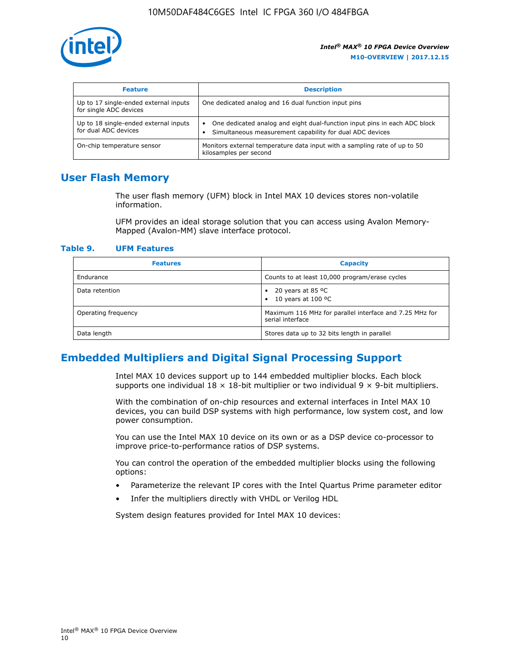

| <b>Feature</b>                                                  | <b>Description</b>                                                                                                                         |
|-----------------------------------------------------------------|--------------------------------------------------------------------------------------------------------------------------------------------|
| Up to 17 single-ended external inputs<br>for single ADC devices | One dedicated analog and 16 dual function input pins                                                                                       |
| Up to 18 single-ended external inputs<br>for dual ADC devices   | One dedicated analog and eight dual-function input pins in each ADC block<br>٠<br>Simultaneous measurement capability for dual ADC devices |
| On-chip temperature sensor                                      | Monitors external temperature data input with a sampling rate of up to 50<br>kilosamples per second                                        |

## **User Flash Memory**

The user flash memory (UFM) block in Intel MAX 10 devices stores non-volatile information.

UFM provides an ideal storage solution that you can access using Avalon Memory-Mapped (Avalon-MM) slave interface protocol.

#### **Table 9. UFM Features**

| <b>Features</b>     | <b>Capacity</b>                                                             |
|---------------------|-----------------------------------------------------------------------------|
| Endurance           | Counts to at least 10,000 program/erase cycles                              |
| Data retention      | 20 years at 85 °C<br>٠<br>10 years at 100 °C<br>$\bullet$                   |
| Operating frequency | Maximum 116 MHz for parallel interface and 7.25 MHz for<br>serial interface |
| Data length         | Stores data up to 32 bits length in parallel                                |

## **Embedded Multipliers and Digital Signal Processing Support**

Intel MAX 10 devices support up to 144 embedded multiplier blocks. Each block supports one individual  $18 \times 18$ -bit multiplier or two individual  $9 \times 9$ -bit multipliers.

With the combination of on-chip resources and external interfaces in Intel MAX 10 devices, you can build DSP systems with high performance, low system cost, and low power consumption.

You can use the Intel MAX 10 device on its own or as a DSP device co-processor to improve price-to-performance ratios of DSP systems.

You can control the operation of the embedded multiplier blocks using the following options:

- Parameterize the relevant IP cores with the Intel Quartus Prime parameter editor
- Infer the multipliers directly with VHDL or Verilog HDL

System design features provided for Intel MAX 10 devices: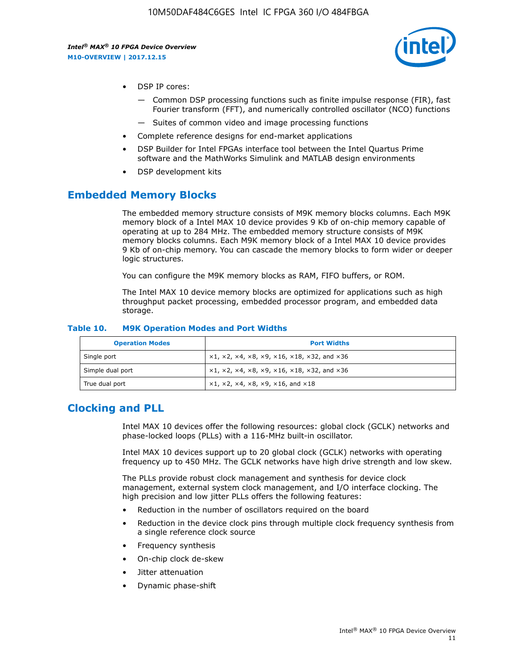

- DSP IP cores:
	- Common DSP processing functions such as finite impulse response (FIR), fast Fourier transform (FFT), and numerically controlled oscillator (NCO) functions
	- Suites of common video and image processing functions
- Complete reference designs for end-market applications
- DSP Builder for Intel FPGAs interface tool between the Intel Quartus Prime software and the MathWorks Simulink and MATLAB design environments
- DSP development kits

## **Embedded Memory Blocks**

The embedded memory structure consists of M9K memory blocks columns. Each M9K memory block of a Intel MAX 10 device provides 9 Kb of on-chip memory capable of operating at up to 284 MHz. The embedded memory structure consists of M9K memory blocks columns. Each M9K memory block of a Intel MAX 10 device provides 9 Kb of on-chip memory. You can cascade the memory blocks to form wider or deeper logic structures.

You can configure the M9K memory blocks as RAM, FIFO buffers, or ROM.

The Intel MAX 10 device memory blocks are optimized for applications such as high throughput packet processing, embedded processor program, and embedded data storage.

| <b>Operation Modes</b> | <b>Port Widths</b>                                                            |
|------------------------|-------------------------------------------------------------------------------|
| Single port            | $x1, x2, x4, x8, x9, x16, x18, x32, and x36$                                  |
| Simple dual port       | $x1, x2, x4, x8, x9, x16, x18, x32, and x36$                                  |
| True dual port         | $\times1, \times2, \times4, \times8, \times9, \times16, \text{and } \times18$ |

#### **Table 10. M9K Operation Modes and Port Widths**

# **Clocking and PLL**

Intel MAX 10 devices offer the following resources: global clock (GCLK) networks and phase-locked loops (PLLs) with a 116-MHz built-in oscillator.

Intel MAX 10 devices support up to 20 global clock (GCLK) networks with operating frequency up to 450 MHz. The GCLK networks have high drive strength and low skew.

The PLLs provide robust clock management and synthesis for device clock management, external system clock management, and I/O interface clocking. The high precision and low jitter PLLs offers the following features:

- Reduction in the number of oscillators required on the board
- Reduction in the device clock pins through multiple clock frequency synthesis from a single reference clock source
- Frequency synthesis
- On-chip clock de-skew
- Jitter attenuation
- Dynamic phase-shift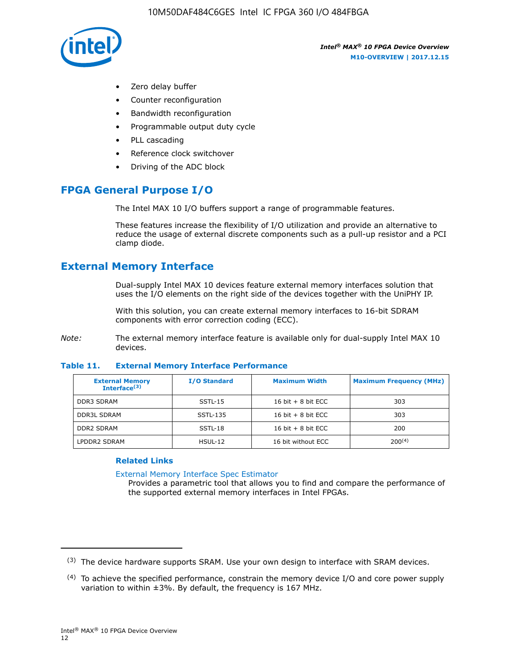

- Zero delay buffer
- Counter reconfiguration
- Bandwidth reconfiguration
- Programmable output duty cycle
- PLL cascading
- Reference clock switchover
- Driving of the ADC block

# **FPGA General Purpose I/O**

The Intel MAX 10 I/O buffers support a range of programmable features.

These features increase the flexibility of I/O utilization and provide an alternative to reduce the usage of external discrete components such as a pull-up resistor and a PCI clamp diode.

# **External Memory Interface**

Dual-supply Intel MAX 10 devices feature external memory interfaces solution that uses the I/O elements on the right side of the devices together with the UniPHY IP.

With this solution, you can create external memory interfaces to 16-bit SDRAM components with error correction coding (ECC).

*Note:* The external memory interface feature is available only for dual-supply Intel MAX 10 devices.

#### **Table 11. External Memory Interface Performance**

| <b>External Memory</b><br>Interface $(3)$ | <b>I/O Standard</b> | <b>Maximum Width</b> | <b>Maximum Frequency (MHz)</b> |
|-------------------------------------------|---------------------|----------------------|--------------------------------|
| <b>DDR3 SDRAM</b>                         | SSTL-15             | 16 bit $+8$ bit ECC  | 303                            |
| <b>DDR3L SDRAM</b>                        | SSTL-135            | 16 bit $+8$ bit ECC  | 303                            |
| <b>DDR2 SDRAM</b>                         | SSTL-18             | 16 bit $+8$ bit ECC  | 200                            |
| LPDDR2 SDRAM                              | $HSUL-12$           | 16 bit without ECC   | $200^{(4)}$                    |

## **Related Links**

[External Memory Interface Spec Estimator](http://www.altera.com/technology/memory/estimator/mem-emif-index.html)

Provides a parametric tool that allows you to find and compare the performance of the supported external memory interfaces in Intel FPGAs.

 $(3)$  The device hardware supports SRAM. Use your own design to interface with SRAM devices.

 $(4)$  To achieve the specified performance, constrain the memory device I/O and core power supply variation to within ±3%. By default, the frequency is 167 MHz.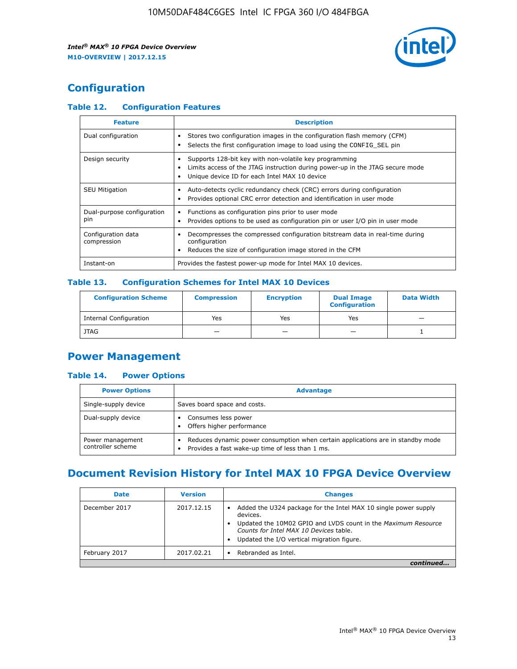

# **Configuration**

## **Table 12. Configuration Features**

| <b>Feature</b>                    | <b>Description</b>                                                                                                                                                                       |
|-----------------------------------|------------------------------------------------------------------------------------------------------------------------------------------------------------------------------------------|
| Dual configuration                | Stores two configuration images in the configuration flash memory (CFM)<br>Selects the first configuration image to load using the CONFIG SEL pin                                        |
| Design security                   | Supports 128-bit key with non-volatile key programming<br>Limits access of the JTAG instruction during power-up in the JTAG secure mode<br>Unique device ID for each Intel MAX 10 device |
| <b>SEU Mitigation</b>             | Auto-detects cyclic redundancy check (CRC) errors during configuration<br>Provides optional CRC error detection and identification in user mode                                          |
| Dual-purpose configuration<br>pin | Functions as configuration pins prior to user mode<br>Provides options to be used as configuration pin or user I/O pin in user mode                                                      |
| Configuration data<br>compression | Decompresses the compressed configuration bitstream data in real-time during<br>configuration<br>Reduces the size of configuration image stored in the CFM                               |
| Instant-on                        | Provides the fastest power-up mode for Intel MAX 10 devices.                                                                                                                             |

## **Table 13. Configuration Schemes for Intel MAX 10 Devices**

| <b>Configuration Scheme</b> | <b>Compression</b> | <b>Encryption</b> | <b>Dual Image</b><br><b>Configuration</b> | <b>Data Width</b> |
|-----------------------------|--------------------|-------------------|-------------------------------------------|-------------------|
| Internal Configuration      | Yes                | Yes               | Yes                                       |                   |
| <b>JTAG</b>                 | _                  |                   | -                                         |                   |

## **Power Management**

## **Table 14. Power Options**

| <b>Power Options</b>                  | <b>Advantage</b>                                                                                                                                |  |
|---------------------------------------|-------------------------------------------------------------------------------------------------------------------------------------------------|--|
| Single-supply device                  | Saves board space and costs.                                                                                                                    |  |
| Dual-supply device                    | Consumes less power<br>Offers higher performance<br>$\bullet$                                                                                   |  |
| Power management<br>controller scheme | Reduces dynamic power consumption when certain applications are in standby mode<br>Provides a fast wake-up time of less than 1 ms.<br>$\bullet$ |  |

# **Document Revision History for Intel MAX 10 FPGA Device Overview**

| <b>Date</b>   | <b>Version</b> | <b>Changes</b>                                                                                                                                                                                                                       |
|---------------|----------------|--------------------------------------------------------------------------------------------------------------------------------------------------------------------------------------------------------------------------------------|
| December 2017 | 2017.12.15     | Added the U324 package for the Intel MAX 10 single power supply<br>devices.<br>Updated the 10M02 GPIO and LVDS count in the Maximum Resource<br>Counts for Intel MAX 10 Devices table.<br>Updated the I/O vertical migration figure. |
| February 2017 | 2017.02.21     | Rebranded as Intel.                                                                                                                                                                                                                  |
|               |                |                                                                                                                                                                                                                                      |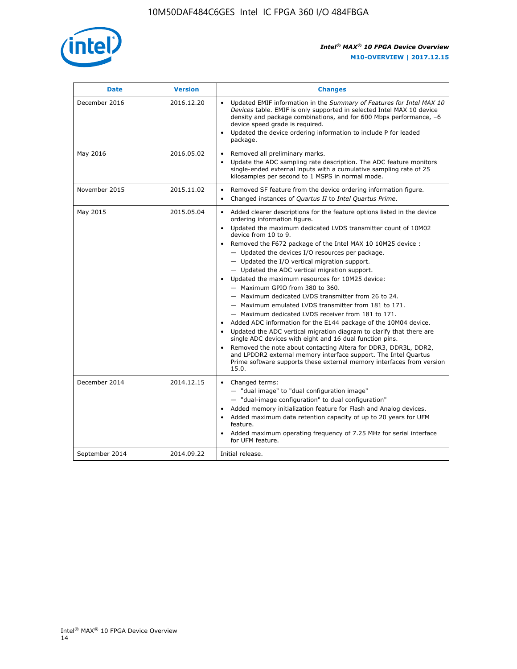

| <b>Date</b>    | <b>Version</b> | <b>Changes</b>                                                                                                                                                                                                                                                                                                                                                                                                                                                                                                                                                                                                                                                                                                                                                                                                                                                                                                                                                                                                                                                                                                                                           |
|----------------|----------------|----------------------------------------------------------------------------------------------------------------------------------------------------------------------------------------------------------------------------------------------------------------------------------------------------------------------------------------------------------------------------------------------------------------------------------------------------------------------------------------------------------------------------------------------------------------------------------------------------------------------------------------------------------------------------------------------------------------------------------------------------------------------------------------------------------------------------------------------------------------------------------------------------------------------------------------------------------------------------------------------------------------------------------------------------------------------------------------------------------------------------------------------------------|
| December 2016  | 2016.12.20     | • Updated EMIF information in the Summary of Features for Intel MAX 10<br>Devices table. EMIF is only supported in selected Intel MAX 10 device<br>density and package combinations, and for 600 Mbps performance, -6<br>device speed grade is required.<br>Updated the device ordering information to include P for leaded<br>package.                                                                                                                                                                                                                                                                                                                                                                                                                                                                                                                                                                                                                                                                                                                                                                                                                  |
| May 2016       | 2016.05.02     | Removed all preliminary marks.<br>Update the ADC sampling rate description. The ADC feature monitors<br>$\bullet$<br>single-ended external inputs with a cumulative sampling rate of 25<br>kilosamples per second to 1 MSPS in normal mode.                                                                                                                                                                                                                                                                                                                                                                                                                                                                                                                                                                                                                                                                                                                                                                                                                                                                                                              |
| November 2015  | 2015.11.02     | Removed SF feature from the device ordering information figure.<br>$\bullet$<br>Changed instances of Quartus II to Intel Quartus Prime.<br>$\bullet$                                                                                                                                                                                                                                                                                                                                                                                                                                                                                                                                                                                                                                                                                                                                                                                                                                                                                                                                                                                                     |
| May 2015       | 2015.05.04     | Added clearer descriptions for the feature options listed in the device<br>$\bullet$<br>ordering information figure.<br>Updated the maximum dedicated LVDS transmitter count of 10M02<br>$\bullet$<br>device from 10 to 9.<br>Removed the F672 package of the Intel MAX 10 10M25 device :<br>- Updated the devices I/O resources per package.<br>$-$ Updated the I/O vertical migration support.<br>- Updated the ADC vertical migration support.<br>Updated the maximum resources for 10M25 device:<br>- Maximum GPIO from 380 to 360.<br>- Maximum dedicated LVDS transmitter from 26 to 24.<br>- Maximum emulated LVDS transmitter from 181 to 171.<br>- Maximum dedicated LVDS receiver from 181 to 171.<br>Added ADC information for the E144 package of the 10M04 device.<br>$\bullet$<br>Updated the ADC vertical migration diagram to clarify that there are<br>single ADC devices with eight and 16 dual function pins.<br>Removed the note about contacting Altera for DDR3, DDR3L, DDR2,<br>and LPDDR2 external memory interface support. The Intel Quartus<br>Prime software supports these external memory interfaces from version<br>15.0. |
| December 2014  | 2014.12.15     | Changed terms:<br>$\bullet$<br>- "dual image" to "dual configuration image"<br>- "dual-image configuration" to dual configuration"<br>Added memory initialization feature for Flash and Analog devices.<br>$\bullet$<br>Added maximum data retention capacity of up to 20 years for UFM<br>$\bullet$<br>feature.<br>Added maximum operating frequency of 7.25 MHz for serial interface<br>for UFM feature.                                                                                                                                                                                                                                                                                                                                                                                                                                                                                                                                                                                                                                                                                                                                               |
| September 2014 | 2014.09.22     | Initial release.                                                                                                                                                                                                                                                                                                                                                                                                                                                                                                                                                                                                                                                                                                                                                                                                                                                                                                                                                                                                                                                                                                                                         |